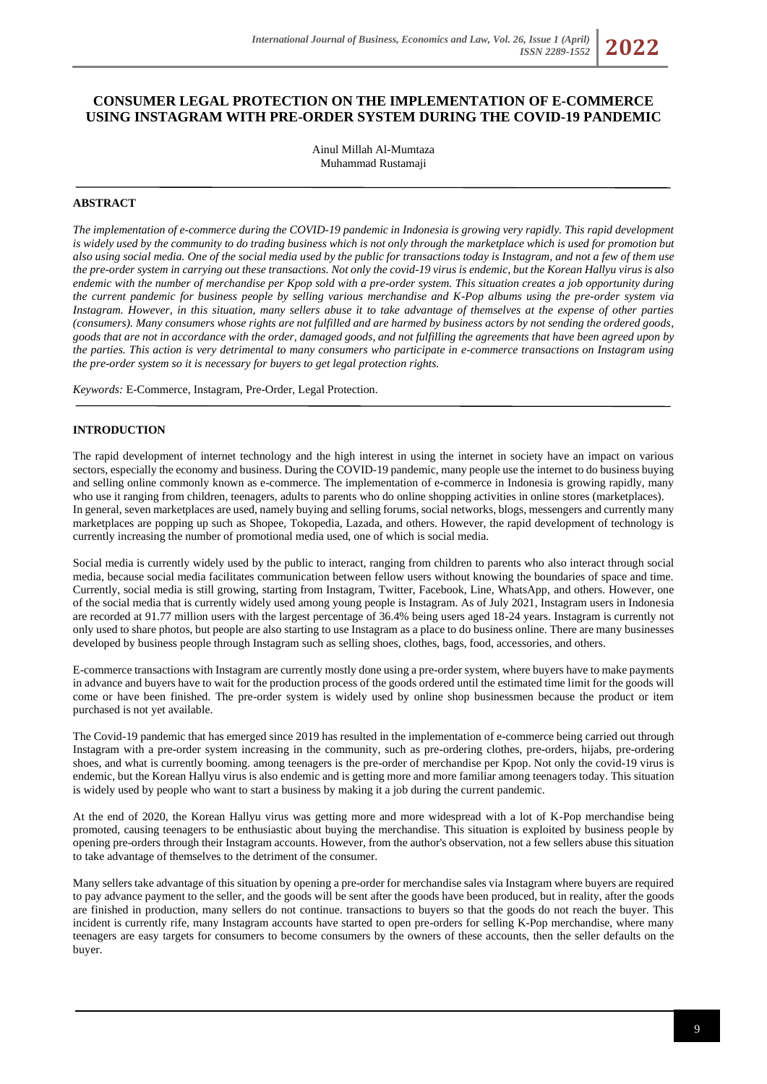# **CONSUMER LEGAL PROTECTION ON THE IMPLEMENTATION OF E-COMMERCE USING INSTAGRAM WITH PRE-ORDER SYSTEM DURING THE COVID-19 PANDEMIC**

Ainul Millah Al-Mumtaza Muhammad Rustamaji

## **ABSTRACT**

*The implementation of e-commerce during the COVID-19 pandemic in Indonesia is growing very rapidly. This rapid development is widely used by the community to do trading business which is not only through the marketplace which is used for promotion but also using social media. One of the social media used by the public for transactions today is Instagram, and not a few of them use the pre-order system in carrying out these transactions. Not only the covid-19 virus is endemic, but the Korean Hallyu virus is also endemic with the number of merchandise per Kpop sold with a pre-order system. This situation creates a job opportunity during the current pandemic for business people by selling various merchandise and K-Pop albums using the pre-order system via Instagram. However, in this situation, many sellers abuse it to take advantage of themselves at the expense of other parties (consumers). Many consumers whose rights are not fulfilled and are harmed by business actors by not sending the ordered goods, goods that are not in accordance with the order, damaged goods, and not fulfilling the agreements that have been agreed upon by the parties. This action is very detrimental to many consumers who participate in e-commerce transactions on Instagram using the pre-order system so it is necessary for buyers to get legal protection rights.*

*Keywords:* E-Commerce, Instagram, Pre-Order, Legal Protection.

#### **INTRODUCTION**

The rapid development of internet technology and the high interest in using the internet in society have an impact on various sectors, especially the economy and business. During the COVID-19 pandemic, many people use the internet to do business buying and selling online commonly known as e-commerce. The implementation of e-commerce in Indonesia is growing rapidly, many who use it ranging from children, teenagers, adults to parents who do online shopping activities in online stores (marketplaces). In general, seven marketplaces are used, namely buying and selling forums, social networks, blogs, messengers and currently many marketplaces are popping up such as Shopee, Tokopedia, Lazada, and others. However, the rapid development of technology is currently increasing the number of promotional media used, one of which is social media.

Social media is currently widely used by the public to interact, ranging from children to parents who also interact through social media, because social media facilitates communication between fellow users without knowing the boundaries of space and time. Currently, social media is still growing, starting from Instagram, Twitter, Facebook, Line, WhatsApp, and others. However, one of the social media that is currently widely used among young people is Instagram. As of July 2021, Instagram users in Indonesia are recorded at 91.77 million users with the largest percentage of 36.4% being users aged 18-24 years. Instagram is currently not only used to share photos, but people are also starting to use Instagram as a place to do business online. There are many businesses developed by business people through Instagram such as selling shoes, clothes, bags, food, accessories, and others.

E-commerce transactions with Instagram are currently mostly done using a pre-order system, where buyers have to make payments in advance and buyers have to wait for the production process of the goods ordered until the estimated time limit for the goods will come or have been finished. The pre-order system is widely used by online shop businessmen because the product or item purchased is not yet available.

The Covid-19 pandemic that has emerged since 2019 has resulted in the implementation of e-commerce being carried out through Instagram with a pre-order system increasing in the community, such as pre-ordering clothes, pre-orders, hijabs, pre-ordering shoes, and what is currently booming. among teenagers is the pre-order of merchandise per Kpop. Not only the covid-19 virus is endemic, but the Korean Hallyu virus is also endemic and is getting more and more familiar among teenagers today. This situation is widely used by people who want to start a business by making it a job during the current pandemic.

At the end of 2020, the Korean Hallyu virus was getting more and more widespread with a lot of K-Pop merchandise being promoted, causing teenagers to be enthusiastic about buying the merchandise. This situation is exploited by business people by opening pre-orders through their Instagram accounts. However, from the author's observation, not a few sellers abuse this situation to take advantage of themselves to the detriment of the consumer.

Many sellers take advantage of this situation by opening a pre-order for merchandise sales via Instagram where buyers are required to pay advance payment to the seller, and the goods will be sent after the goods have been produced, but in reality, after the goods are finished in production, many sellers do not continue. transactions to buyers so that the goods do not reach the buyer. This incident is currently rife, many Instagram accounts have started to open pre-orders for selling K-Pop merchandise, where many teenagers are easy targets for consumers to become consumers by the owners of these accounts, then the seller defaults on the buyer.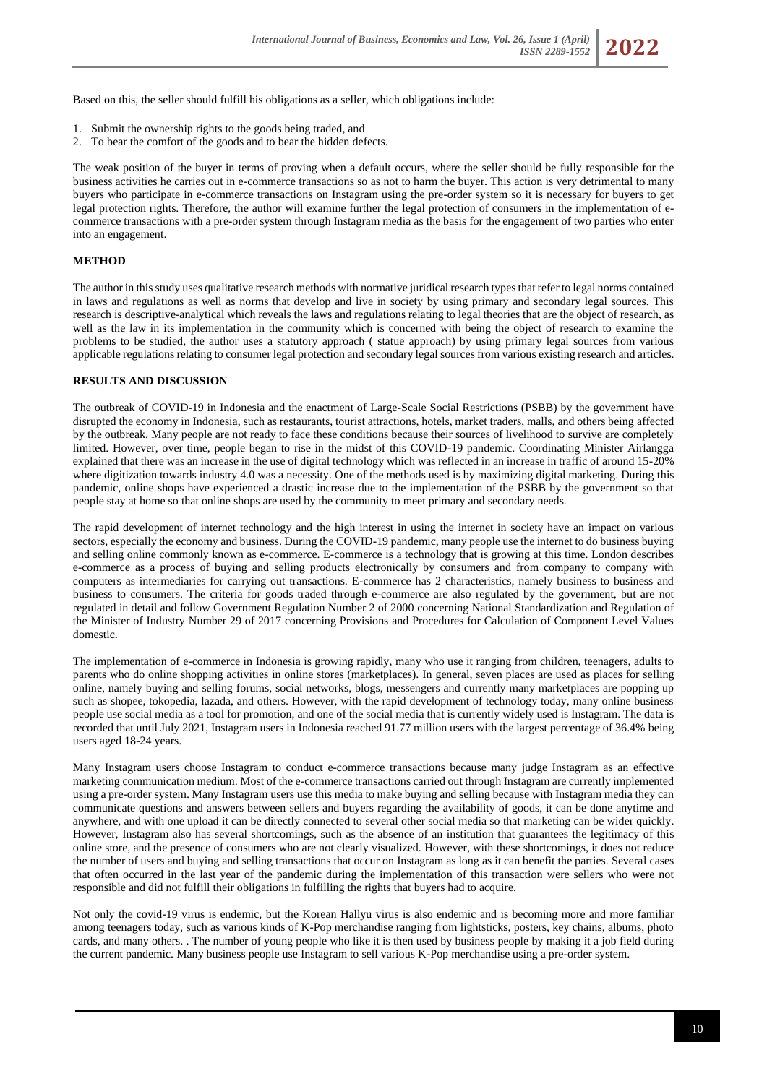Based on this, the seller should fulfill his obligations as a seller, which obligations include:

- 1. Submit the ownership rights to the goods being traded, and
- 2. To bear the comfort of the goods and to bear the hidden defects.

The weak position of the buyer in terms of proving when a default occurs, where the seller should be fully responsible for the business activities he carries out in e-commerce transactions so as not to harm the buyer. This action is very detrimental to many buyers who participate in e-commerce transactions on Instagram using the pre-order system so it is necessary for buyers to get legal protection rights. Therefore, the author will examine further the legal protection of consumers in the implementation of ecommerce transactions with a pre-order system through Instagram media as the basis for the engagement of two parties who enter into an engagement.

## **METHOD**

The author in this study uses qualitative research methods with normative juridical research types that refer to legal norms contained in laws and regulations as well as norms that develop and live in society by using primary and secondary legal sources. This research is descriptive-analytical which reveals the laws and regulations relating to legal theories that are the object of research, as well as the law in its implementation in the community which is concerned with being the object of research to examine the problems to be studied, the author uses a statutory approach ( statue approach) by using primary legal sources from various applicable regulations relating to consumer legal protection and secondary legal sources from various existing research and articles.

#### **RESULTS AND DISCUSSION**

The outbreak of COVID-19 in Indonesia and the enactment of Large-Scale Social Restrictions (PSBB) by the government have disrupted the economy in Indonesia, such as restaurants, tourist attractions, hotels, market traders, malls, and others being affected by the outbreak. Many people are not ready to face these conditions because their sources of livelihood to survive are completely limited. However, over time, people began to rise in the midst of this COVID-19 pandemic. Coordinating Minister Airlangga explained that there was an increase in the use of digital technology which was reflected in an increase in traffic of around 15-20% where digitization towards industry 4.0 was a necessity. One of the methods used is by maximizing digital marketing. During this pandemic, online shops have experienced a drastic increase due to the implementation of the PSBB by the government so that people stay at home so that online shops are used by the community to meet primary and secondary needs.

The rapid development of internet technology and the high interest in using the internet in society have an impact on various sectors, especially the economy and business. During the COVID-19 pandemic, many people use the internet to do business buying and selling online commonly known as e-commerce. E-commerce is a technology that is growing at this time. London describes e-commerce as a process of buying and selling products electronically by consumers and from company to company with computers as intermediaries for carrying out transactions. E-commerce has 2 characteristics, namely business to business and business to consumers. The criteria for goods traded through e-commerce are also regulated by the government, but are not regulated in detail and follow Government Regulation Number 2 of 2000 concerning National Standardization and Regulation of the Minister of Industry Number 29 of 2017 concerning Provisions and Procedures for Calculation of Component Level Values domestic.

The implementation of e-commerce in Indonesia is growing rapidly, many who use it ranging from children, teenagers, adults to parents who do online shopping activities in online stores (marketplaces). In general, seven places are used as places for selling online, namely buying and selling forums, social networks, blogs, messengers and currently many marketplaces are popping up such as shopee, tokopedia, lazada, and others. However, with the rapid development of technology today, many online business people use social media as a tool for promotion, and one of the social media that is currently widely used is Instagram. The data is recorded that until July 2021, Instagram users in Indonesia reached 91.77 million users with the largest percentage of 36.4% being users aged 18-24 years.

Many Instagram users choose Instagram to conduct e-commerce transactions because many judge Instagram as an effective marketing communication medium. Most of the e-commerce transactions carried out through Instagram are currently implemented using a pre-order system. Many Instagram users use this media to make buying and selling because with Instagram media they can communicate questions and answers between sellers and buyers regarding the availability of goods, it can be done anytime and anywhere, and with one upload it can be directly connected to several other social media so that marketing can be wider quickly. However, Instagram also has several shortcomings, such as the absence of an institution that guarantees the legitimacy of this online store, and the presence of consumers who are not clearly visualized. However, with these shortcomings, it does not reduce the number of users and buying and selling transactions that occur on Instagram as long as it can benefit the parties. Several cases that often occurred in the last year of the pandemic during the implementation of this transaction were sellers who were not responsible and did not fulfill their obligations in fulfilling the rights that buyers had to acquire.

Not only the covid-19 virus is endemic, but the Korean Hallyu virus is also endemic and is becoming more and more familiar among teenagers today, such as various kinds of K-Pop merchandise ranging from lightsticks, posters, key chains, albums, photo cards, and many others. . The number of young people who like it is then used by business people by making it a job field during the current pandemic. Many business people use Instagram to sell various K-Pop merchandise using a pre-order system.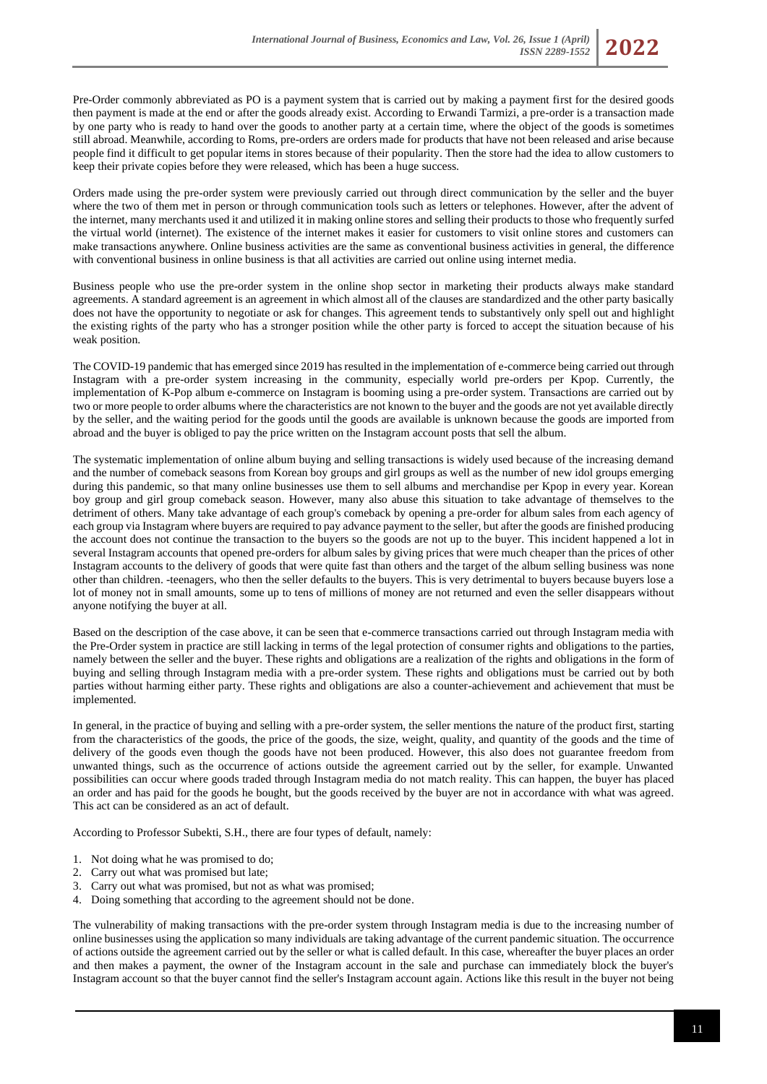

Orders made using the pre-order system were previously carried out through direct communication by the seller and the buyer where the two of them met in person or through communication tools such as letters or telephones. However, after the advent of the internet, many merchants used it and utilized it in making online stores and selling their products to those who frequently surfed the virtual world (internet). The existence of the internet makes it easier for customers to visit online stores and customers can make transactions anywhere. Online business activities are the same as conventional business activities in general, the difference with conventional business in online business is that all activities are carried out online using internet media.

Business people who use the pre-order system in the online shop sector in marketing their products always make standard agreements. A standard agreement is an agreement in which almost all of the clauses are standardized and the other party basically does not have the opportunity to negotiate or ask for changes. This agreement tends to substantively only spell out and highlight the existing rights of the party who has a stronger position while the other party is forced to accept the situation because of his weak position.

The COVID-19 pandemic that has emerged since 2019 has resulted in the implementation of e-commerce being carried out through Instagram with a pre-order system increasing in the community, especially world pre-orders per Kpop. Currently, the implementation of K-Pop album e-commerce on Instagram is booming using a pre-order system. Transactions are carried out by two or more people to order albums where the characteristics are not known to the buyer and the goods are not yet available directly by the seller, and the waiting period for the goods until the goods are available is unknown because the goods are imported from abroad and the buyer is obliged to pay the price written on the Instagram account posts that sell the album.

The systematic implementation of online album buying and selling transactions is widely used because of the increasing demand and the number of comeback seasons from Korean boy groups and girl groups as well as the number of new idol groups emerging during this pandemic, so that many online businesses use them to sell albums and merchandise per Kpop in every year. Korean boy group and girl group comeback season. However, many also abuse this situation to take advantage of themselves to the detriment of others. Many take advantage of each group's comeback by opening a pre-order for album sales from each agency of each group via Instagram where buyers are required to pay advance payment to the seller, but after the goods are finished producing the account does not continue the transaction to the buyers so the goods are not up to the buyer. This incident happened a lot in several Instagram accounts that opened pre-orders for album sales by giving prices that were much cheaper than the prices of other Instagram accounts to the delivery of goods that were quite fast than others and the target of the album selling business was none other than children. -teenagers, who then the seller defaults to the buyers. This is very detrimental to buyers because buyers lose a lot of money not in small amounts, some up to tens of millions of money are not returned and even the seller disappears without anyone notifying the buyer at all.

Based on the description of the case above, it can be seen that e-commerce transactions carried out through Instagram media with the Pre-Order system in practice are still lacking in terms of the legal protection of consumer rights and obligations to the parties, namely between the seller and the buyer. These rights and obligations are a realization of the rights and obligations in the form of buying and selling through Instagram media with a pre-order system. These rights and obligations must be carried out by both parties without harming either party. These rights and obligations are also a counter-achievement and achievement that must be implemented.

In general, in the practice of buying and selling with a pre-order system, the seller mentions the nature of the product first, starting from the characteristics of the goods, the price of the goods, the size, weight, quality, and quantity of the goods and the time of delivery of the goods even though the goods have not been produced. However, this also does not guarantee freedom from unwanted things, such as the occurrence of actions outside the agreement carried out by the seller, for example. Unwanted possibilities can occur where goods traded through Instagram media do not match reality. This can happen, the buyer has placed an order and has paid for the goods he bought, but the goods received by the buyer are not in accordance with what was agreed. This act can be considered as an act of default.

According to Professor Subekti, S.H., there are four types of default, namely:

- 1. Not doing what he was promised to do;
- 2. Carry out what was promised but late;
- 3. Carry out what was promised, but not as what was promised;
- 4. Doing something that according to the agreement should not be done.

The vulnerability of making transactions with the pre-order system through Instagram media is due to the increasing number of online businesses using the application so many individuals are taking advantage of the current pandemic situation. The occurrence of actions outside the agreement carried out by the seller or what is called default. In this case, whereafter the buyer places an order and then makes a payment, the owner of the Instagram account in the sale and purchase can immediately block the buyer's Instagram account so that the buyer cannot find the seller's Instagram account again. Actions like this result in the buyer not being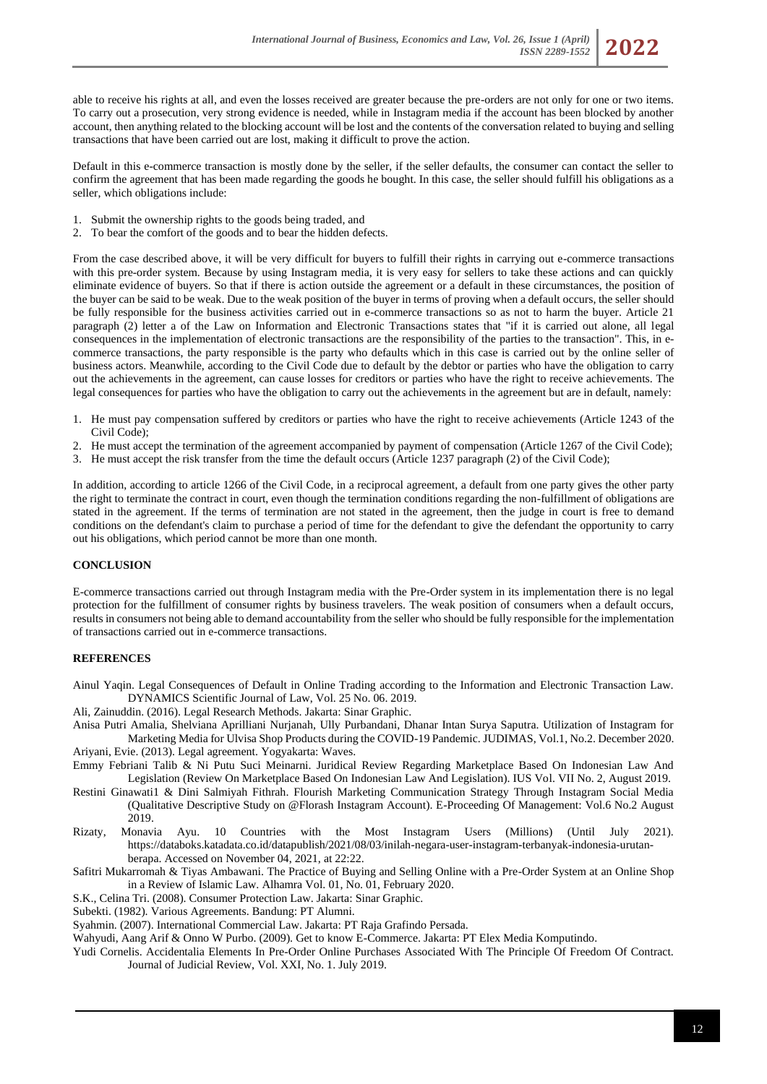able to receive his rights at all, and even the losses received are greater because the pre-orders are not only for one or two items. To carry out a prosecution, very strong evidence is needed, while in Instagram media if the account has been blocked by another account, then anything related to the blocking account will be lost and the contents of the conversation related to buying and selling transactions that have been carried out are lost, making it difficult to prove the action.

Default in this e-commerce transaction is mostly done by the seller, if the seller defaults, the consumer can contact the seller to confirm the agreement that has been made regarding the goods he bought. In this case, the seller should fulfill his obligations as a seller, which obligations include:

- 1. Submit the ownership rights to the goods being traded, and
- 2. To bear the comfort of the goods and to bear the hidden defects.

From the case described above, it will be very difficult for buyers to fulfill their rights in carrying out e-commerce transactions with this pre-order system. Because by using Instagram media, it is very easy for sellers to take these actions and can quickly eliminate evidence of buyers. So that if there is action outside the agreement or a default in these circumstances, the position of the buyer can be said to be weak. Due to the weak position of the buyer in terms of proving when a default occurs, the seller should be fully responsible for the business activities carried out in e-commerce transactions so as not to harm the buyer. Article 21 paragraph (2) letter a of the Law on Information and Electronic Transactions states that "if it is carried out alone, all legal consequences in the implementation of electronic transactions are the responsibility of the parties to the transaction". This, in ecommerce transactions, the party responsible is the party who defaults which in this case is carried out by the online seller of business actors. Meanwhile, according to the Civil Code due to default by the debtor or parties who have the obligation to carry out the achievements in the agreement, can cause losses for creditors or parties who have the right to receive achievements. The legal consequences for parties who have the obligation to carry out the achievements in the agreement but are in default, namely:

- 1. He must pay compensation suffered by creditors or parties who have the right to receive achievements (Article 1243 of the Civil Code);
- 2. He must accept the termination of the agreement accompanied by payment of compensation (Article 1267 of the Civil Code);
- 3. He must accept the risk transfer from the time the default occurs (Article 1237 paragraph (2) of the Civil Code);

In addition, according to article 1266 of the Civil Code, in a reciprocal agreement, a default from one party gives the other party the right to terminate the contract in court, even though the termination conditions regarding the non-fulfillment of obligations are stated in the agreement. If the terms of termination are not stated in the agreement, then the judge in court is free to demand conditions on the defendant's claim to purchase a period of time for the defendant to give the defendant the opportunity to carry out his obligations, which period cannot be more than one month.

## **CONCLUSION**

E-commerce transactions carried out through Instagram media with the Pre-Order system in its implementation there is no legal protection for the fulfillment of consumer rights by business travelers. The weak position of consumers when a default occurs, results in consumers not being able to demand accountability from the seller who should be fully responsible for the implementation of transactions carried out in e-commerce transactions.

#### **REFERENCES**

Ainul Yaqin. Legal Consequences of Default in Online Trading according to the Information and Electronic Transaction Law. DYNAMICS Scientific Journal of Law, Vol. 25 No. 06. 2019.

- Ali, Zainuddin. (2016). Legal Research Methods. Jakarta: Sinar Graphic.
- Anisa Putri Amalia, Shelviana Aprilliani Nurjanah, Ully Purbandani, Dhanar Intan Surya Saputra. Utilization of Instagram for Marketing Media for Ulvisa Shop Products during the COVID-19 Pandemic. JUDIMAS, Vol.1, No.2. December 2020. Ariyani, Evie. (2013). Legal agreement. Yogyakarta: Waves.
- Emmy Febriani Talib & Ni Putu Suci Meinarni. Juridical Review Regarding Marketplace Based On Indonesian Law And Legislation (Review On Marketplace Based On Indonesian Law And Legislation). IUS Vol. VII No. 2, August 2019.
- Restini Ginawati1 & Dini Salmiyah Fithrah. Flourish Marketing Communication Strategy Through Instagram Social Media (Qualitative Descriptive Study on @Florash Instagram Account). E-Proceeding Of Management: Vol.6 No.2 August 2019.
- Rizaty, Monavia Ayu. 10 Countries with the Most Instagram Users (Millions) (Until July 2021). https://databoks.katadata.co.id/datapublish/2021/08/03/inilah-negara-user-instagram-terbanyak-indonesia-urutanberapa. Accessed on November 04, 2021, at 22:22.
- Safitri Mukarromah & Tiyas Ambawani. The Practice of Buying and Selling Online with a Pre-Order System at an Online Shop in a Review of Islamic Law. Alhamra Vol. 01, No. 01, February 2020.
- S.K., Celina Tri. (2008). Consumer Protection Law. Jakarta: Sinar Graphic.
- Subekti. (1982). Various Agreements. Bandung: PT Alumni.
- Syahmin. (2007). International Commercial Law. Jakarta: PT Raja Grafindo Persada.

Wahyudi, Aang Arif & Onno W Purbo. (2009). Get to know E-Commerce. Jakarta: PT Elex Media Komputindo.

Yudi Cornelis. Accidentalia Elements In Pre-Order Online Purchases Associated With The Principle Of Freedom Of Contract. Journal of Judicial Review, Vol. XXI, No. 1. July 2019.